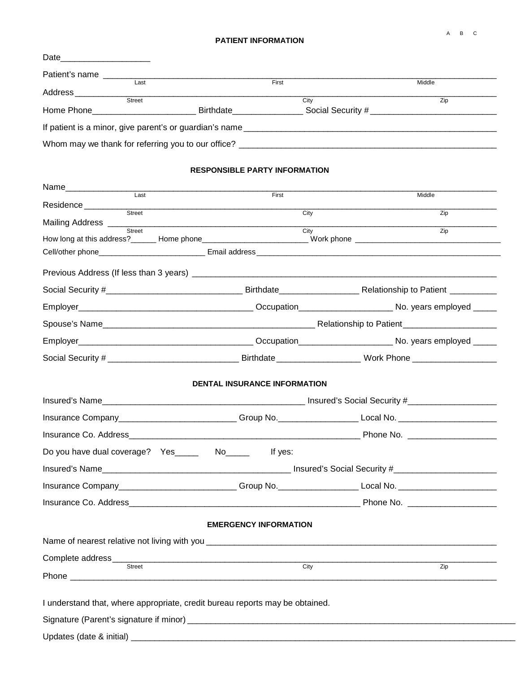A B C

## **PATIENT INFORMATION**

| Date                                                    |           |                   |        |  |
|---------------------------------------------------------|-----------|-------------------|--------|--|
| Patient's name                                          |           |                   |        |  |
| Last                                                    |           | First             | Middle |  |
| Address                                                 |           |                   |        |  |
| <b>Street</b>                                           |           | City              | Zip    |  |
| Home Phone___________________                           | Birthdate | Social Security # |        |  |
| If patient is a minor, give parent's or guardian's name |           |                   |        |  |
|                                                         |           |                   |        |  |
| Whom may we thank for referring you to our office?      |           |                   |        |  |
|                                                         |           |                   |        |  |

## **RESPONSIBLE PARTY INFORMATION**

| First                               |                                                                                                                |  |
|-------------------------------------|----------------------------------------------------------------------------------------------------------------|--|
|                                     | Middle                                                                                                         |  |
| Residence Street<br>City            | Zip                                                                                                            |  |
| City                                | Zip                                                                                                            |  |
|                                     |                                                                                                                |  |
|                                     |                                                                                                                |  |
|                                     |                                                                                                                |  |
|                                     |                                                                                                                |  |
|                                     |                                                                                                                |  |
|                                     |                                                                                                                |  |
|                                     |                                                                                                                |  |
|                                     |                                                                                                                |  |
|                                     |                                                                                                                |  |
| <b>DENTAL INSURANCE INFORMATION</b> |                                                                                                                |  |
|                                     |                                                                                                                |  |
|                                     | Insurance Company____________________________Group No.____________________Local No. _________________________  |  |
|                                     |                                                                                                                |  |
|                                     |                                                                                                                |  |
|                                     |                                                                                                                |  |
|                                     | Insurance Company______________________________Group No.______________________Local No. ______________________ |  |
|                                     | Insurance Co. Address entertainment and the Phone No. 2006. Address and the United States of the United States |  |
|                                     |                                                                                                                |  |
| <b>EMERGENCY INFORMATION</b>        |                                                                                                                |  |
|                                     |                                                                                                                |  |
| City                                | Zip                                                                                                            |  |
|                                     |                                                                                                                |  |
|                                     | How long at this address?_______ Home phone_____________________________Work phone ___________________________ |  |